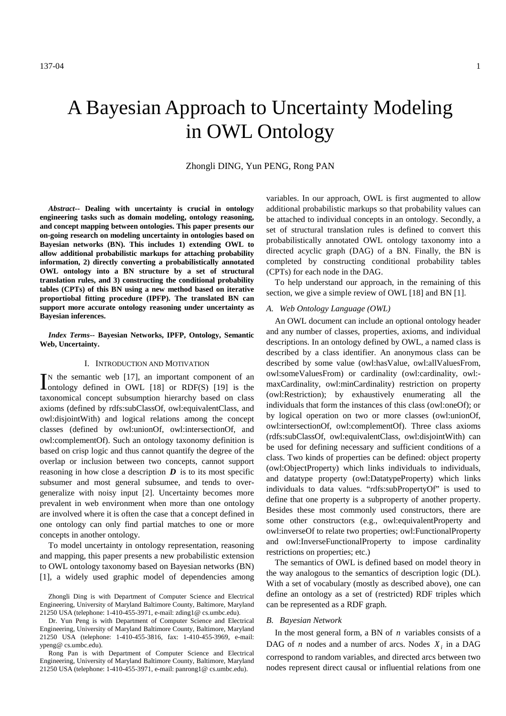# A Bayesian Approach to Uncertainty Modeling in OWL Ontology

# Zhongli DING, Yun PENG, Rong PAN

*Abstract***-- Dealing with uncertainty is crucial in ontology engineering tasks such as domain modeling, ontology reasoning, and concept mapping between ontologies. This paper presents our on-going research on modeling uncertainty in ontologies based on Bayesian networks (BN). This includes 1) extending OWL to allow additional probabilistic markups for attaching probability information, 2) directly converting a probabilistically annotated OWL ontology into a BN structure by a set of structural translation rules, and 3) constructing the conditional probability tables (CPTs) of this BN using a new method based on iterative proportiobal fitting procedure (IPFP). The translated BN can support more accurate ontology reasoning under uncertainty as Bayesian inferences.** 

#### *Index Terms***-- Bayesian Networks, IPFP, Ontology, Semantic Web, Uncertainty.**

#### I. INTRODUCTION AND MOTIVATION

N the semantic web [17], an important component of an  $\sum_{n=1}^{\infty}$  The semantic web [17], an important component of an ontology defined in OWL [18] or RDF(S) [19] is the taxonomical concept subsumption hierarchy based on class axioms (defined by rdfs:subClassOf, owl:equivalentClass, and owl:disjointWith) and logical relations among the concept classes (defined by owl:unionOf, owl:intersectionOf, and owl:complementOf). Such an ontology taxonomy definition is based on crisp logic and thus cannot quantify the degree of the overlap or inclusion between two concepts, cannot support reasoning in how close a description  $D$  is to its most specific subsumer and most general subsumee, and tends to overgeneralize with noisy input [2]. Uncertainty becomes more prevalent in web environment when more than one ontology are involved where it is often the case that a concept defined in one ontology can only find partial matches to one or more concepts in another ontology.

To model uncertainty in ontology representation, reasoning and mapping, this paper presents a new probabilistic extension to OWL ontology taxonomy based on Bayesian networks (BN) [1], a widely used graphic model of dependencies among variables. In our approach, OWL is first augmented to allow additional probabilistic markups so that probability values can be attached to individual concepts in an ontology. Secondly, a set of structural translation rules is defined to convert this probabilistically annotated OWL ontology taxonomy into a directed acyclic graph (DAG) of a BN. Finally, the BN is completed by constructing conditional probability tables (CPTs) for each node in the DAG.

To help understand our approach, in the remaining of this section, we give a simple review of OWL [18] and BN [1].

#### *A. Web Ontology Language (OWL)*

An OWL document can include an optional ontology header and any number of classes, properties, axioms, and individual descriptions. In an ontology defined by OWL, a named class is described by a class identifier. An anonymous class can be described by some value (owl:hasValue, owl:allValuesFrom, owl:someValuesFrom) or cardinality (owl:cardinality, owl: maxCardinality, owl:minCardinality) restriction on property (owl:Restriction); by exhaustively enumerating all the individuals that form the instances of this class (owl:oneOf); or by logical operation on two or more classes (owl:unionOf, owl:intersectionOf, owl:complementOf). Three class axioms (rdfs:subClassOf, owl:equivalentClass, owl:disjointWith) can be used for defining necessary and sufficient conditions of a class. Two kinds of properties can be defined: object property (owl:ObjectProperty) which links individuals to individuals, and datatype property (owl:DatatypeProperty) which links individuals to data values. "rdfs:subPropertyOf" is used to define that one property is a subproperty of another property. Besides these most commonly used constructors, there are some other constructors (e.g., owl:equivalentProperty and owl:inverseOf to relate two properties; owl:FunctionalProperty and owl:InverseFunctionalProperty to impose cardinality restrictions on properties; etc.)

The semantics of OWL is defined based on model theory in the way analogous to the semantics of description logic (DL). With a set of vocabulary (mostly as described above), one can define an ontology as a set of (restricted) RDF triples which can be represented as a RDF graph.

#### *B. Bayesian Network*

In the most general form, a BN of *n* variables consists of a DAG of *n* nodes and a number of arcs. Nodes  $X_i$  in a DAG correspond to random variables, and directed arcs between two nodes represent direct causal or influential relations from one

Zhongli Ding is with Department of Computer Science and Electrical Engineering, University of Maryland Baltimore County, Baltimore, Maryland 21250 USA (telephone: 1-410-455-3971, e-mail: zding1@ cs.umbc.edu).

Dr. Yun Peng is with Department of Computer Science and Electrical Engineering, University of Maryland Baltimore County, Baltimore, Maryland 21250 USA (telephone: 1-410-455-3816, fax: 1-410-455-3969, e-mail: ypeng@ cs.umbc.edu).

Rong Pan is with Department of Computer Science and Electrical Engineering, University of Maryland Baltimore County, Baltimore, Maryland 21250 USA (telephone: 1-410-455-3971, e-mail: panrong1@ cs.umbc.edu).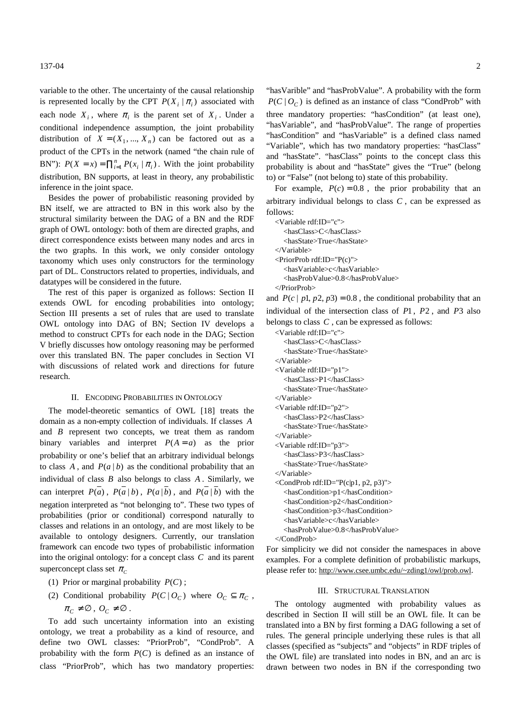variable to the other. The uncertainty of the causal relationship is represented locally by the CPT  $P(X_i | \pi_i)$  associated with each node  $X_i$ , where  $\pi_i$  is the parent set of  $X_i$ . Under a conditional independence assumption, the joint probability distribution of  $X = (X_1, ..., X_n)$  can be factored out as a product of the CPTs in the network (named "the chain rule of BN"):  $P(X = x) = \prod_{i=1}^{n} P(x_i | \pi_i)$ . With the joint probability distribution, BN supports, at least in theory, any probabilistic inference in the joint space.

Besides the power of probabilistic reasoning provided by BN itself, we are attracted to BN in this work also by the structural similarity between the DAG of a BN and the RDF graph of OWL ontology: both of them are directed graphs, and direct correspondence exists between many nodes and arcs in the two graphs. In this work, we only consider ontology taxonomy which uses only constructors for the terminology part of DL. Constructors related to properties, individuals, and datatypes will be considered in the future.

The rest of this paper is organized as follows: Section II extends OWL for encoding probabilities into ontology; Section III presents a set of rules that are used to translate OWL ontology into DAG of BN; Section IV develops a method to construct CPTs for each node in the DAG; Section V briefly discusses how ontology reasoning may be performed over this translated BN. The paper concludes in Section VI with discussions of related work and directions for future research.

#### II. ENCODING PROBABILITIES IN ONTOLOGY

The model-theoretic semantics of OWL [18] treats the domain as a non-empty collection of individuals. If classes *A* and *B* represent two concepts, we treat them as random binary variables and interpret  $P(A = a)$  as the prior probability or one's belief that an arbitrary individual belongs to class *A*, and  $P(a | b)$  as the conditional probability that an individual of class *B* also belongs to class *A* . Similarly, we can interpret  $P(\overline{a})$ ,  $P(\overline{a} | b)$ ,  $P(a|\overline{b})$ , and  $P(\overline{a} | \overline{b})$  with the negation interpreted as "not belonging to". These two types of probabilities (prior or conditional) correspond naturally to classes and relations in an ontology, and are most likely to be available to ontology designers. Currently, our translation framework can encode two types of probabilistic information into the original ontology: for a concept class *C* and its parent superconcept class set  $\pi_c$ 

- (1) Prior or marginal probability  $P(C)$ ;
- (2) Conditional probability  $P(C | O_C)$  where  $O_C \subseteq \pi_C$ ,  $\pi_C \neq \emptyset$ ,  $O_C \neq \emptyset$ .

To add such uncertainty information into an existing ontology, we treat a probability as a kind of resource, and define two OWL classes: "PriorProb", "CondProb". A probability with the form  $P(C)$  is defined as an instance of class "PriorProb", which has two mandatory properties:

"hasVarible" and "hasProbValue". A probability with the form  $P(C | O_C)$  is defined as an instance of class "CondProb" with three mandatory properties: "hasCondition" (at least one), "hasVariable", and "hasProbValue". The range of properties "hasCondition" and "hasVariable" is a defined class named "Variable", which has two mandatory properties: "hasClass" and "hasState". "hasClass" points to the concept class this probability is about and "hasState" gives the "True" (belong to) or "False" (not belong to) state of this probability.

For example,  $P(c) = 0.8$ , the prior probability that an arbitrary individual belongs to class *C* , can be expressed as follows:

```
<Variable rdf:ID="c"> 
  <hasClass>C</hasClass>
  <hasState>True</hasState>
</Variable>
<PriorProb rdf:ID="P(c)">
  <hasVariable>c</hasVariable>
  <hasProbValue>0.8</hasProbValue>
</PriorProb>
```
and  $P(c | p1, p2, p3) = 0.8$ , the conditional probability that an individual of the intersection class of *P*1 , *P*2 , and *P*3 also belongs to class *C* , can be expressed as follows:

```
<Variable rdf:ID="c"> 
  <hasClass>C</hasClass>
  <hasState>True</hasState>
</Variable> 
<Variable rdf:ID="p1"> 
  <hasClass>P1</hasClass>
  <hasState>True</hasState>
</Variable>
<Variable rdf:ID="p2"> 
  <hasClass>P2</hasClass>
  <hasState>True</hasState>
</Variable>
<Variable rdf:ID="p3"> 
  <hasClass>P3</hasClass>
  <hasState>True</hasState>
</Variable>
<CondProb rdf:ID="P(c|p1, p2, p3)"> 
  <hasCondition>p1</hasCondition> 
  <hasCondition>p2</hasCondition> 
  <hasCondition>p3</hasCondition> 
  <hasVariable>c</hasVariable> 
  <hasProbValue>0.8</hasProbValue>
```

```
</CondProb>
```
For simplicity we did not consider the namespaces in above examples. For a complete definition of probabilistic markups, please refer to: http://www.csee.umbc.edu/~zding1/owl/prob.owl.

#### III. STRUCTURAL TRANSLATION

The ontology augmented with probability values as described in Section II will still be an OWL file. It can be translated into a BN by first forming a DAG following a set of rules. The general principle underlying these rules is that all classes (specified as "subjects" and "objects" in RDF triples of the OWL file) are translated into nodes in BN, and an arc is drawn between two nodes in BN if the corresponding two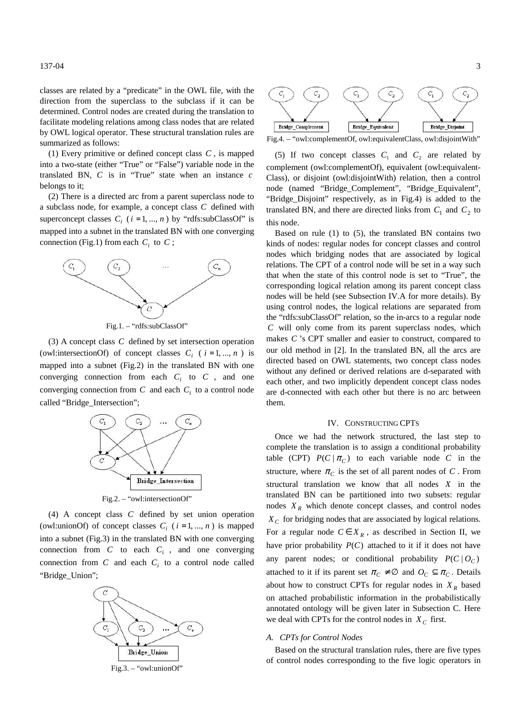#### 137-04 3

classes are related by a "predicate" in the OWL file, with the direction from the superclass to the subclass if it can be determined. Control nodes are created during the translation to facilitate modeling relations among class nodes that are related by OWL logical operator. These structural translation rules are summarized as follows:

(1) Every primitive or defined concept class *C* , is mapped into a two-state (either "True" or "False") variable node in the translated BN, *C* is in "True" state when an instance *c* belongs to it;

(2) There is a directed arc from a parent superclass node to a subclass node, for example, a concept class *C* defined with superconcept classes  $C_i$  ( $i = 1, ..., n$ ) by "rdfs:subClassOf" is mapped into a subnet in the translated BN with one converging connection (Fig.1) from each  $C_i$  to  $C$ ;



Fig.1. – "rdfs:subClassOf"

(3) A concept class *C* defined by set intersection operation (owl:intersectionOf) of concept classes  $C_i$  ( $i = 1, ..., n$ ) is mapped into a subnet (Fig.2) in the translated BN with one converging connection from each  $C_i$  to  $C$ , and one converging connection from  $C$  and each  $C_i$  to a control node called "Bridge\_Intersection";



Fig.2. – "owl:intersectionOf"

(4) A concept class *C* defined by set union operation (owl:unionOf) of concept classes  $C_i$  ( $i = 1, ..., n$ ) is mapped into a subnet (Fig.3) in the translated BN with one converging connection from  $C$  to each  $C_i$ , and one converging connection from  $C$  and each  $C_i$  to a control node called "Bridge\_Union";



Fig.3. – "owl:unionOf"



Fig.4. – "owl:complementOf, owl:equivalentClass, owl:disjointWith"

(5) If two concept classes  $C_1$  and  $C_2$  are related by complement (owl:complementOf), equivalent (owl:equivalent-Class), or disjoint (owl:disjointWith) relation, then a control node (named "Bridge\_Complement", "Bridge\_Equivalent", "Bridge\_Disjoint" respectively, as in Fig.4) is added to the translated BN, and there are directed links from  $C_1$  and  $C_2$  to this node.

Based on rule (1) to (5), the translated BN contains two kinds of nodes: regular nodes for concept classes and control nodes which bridging nodes that are associated by logical relations. The CPT of a control node will be set in a way such that when the state of this control node is set to "True", the corresponding logical relation among its parent concept class nodes will be held (see Subsection IV.A for more details). By using control nodes, the logical relations are separated from the "rdfs:subClassOf" relation, so the in-arcs to a regular node *C* will only come from its parent superclass nodes, which makes *C* 's CPT smaller and easier to construct, compared to our old method in [2]. In the translated BN, all the arcs are directed based on OWL statements, two concept class nodes without any defined or derived relations are d-separated with each other, and two implicitly dependent concept class nodes are d-connected with each other but there is no arc between them.

# IV. CONSTRUCTING CPTS

Once we had the network structured, the last step to complete the translation is to assign a conditional probability table (CPT)  $P(C | \pi_C)$  to each variable node *C* in the structure, where  $\pi_C$  is the set of all parent nodes of *C*. From structural translation we know that all nodes *X* in the translated BN can be partitioned into two subsets: regular nodes *X <sup>R</sup>* which denote concept classes, and control nodes *X <sup>C</sup>* for bridging nodes that are associated by logical relations. For a regular node  $C \in X_R$ , as described in Section II, we have prior probability  $P(C)$  attached to it if it does not have any parent nodes; or conditional probability  $P(C | O<sub>C</sub>)$ attached to it if its parent set  $\pi_C \neq \emptyset$  and  $O_C \subseteq \pi_C$ . Details about how to construct CPTs for regular nodes in  $X_R$  based on attached probabilistic information in the probabilistically annotated ontology will be given later in Subsection C. Here we deal with CPTs for the control nodes in  $X_C$  first.

#### *A. CPTs for Control Nodes*

Based on the structural translation rules, there are five types of control nodes corresponding to the five logic operators in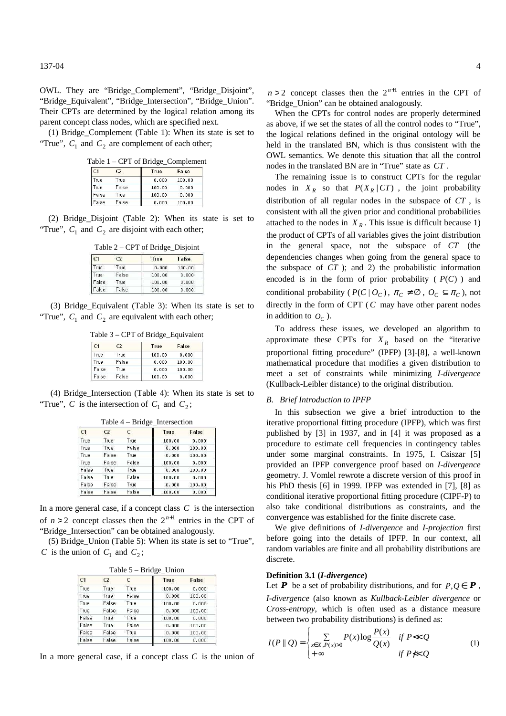137-04 4

OWL. They are "Bridge\_Complement", "Bridge\_Disjoint", "Bridge\_Equivalent", "Bridge\_Intersection", "Bridge\_Union". Their CPTs are determined by the logical relation among its parent concept class nodes, which are specified next.

(1) Bridge\_Complement (Table 1): When its state is set to "True",  $C_1$  and  $C_2$  are complement of each other;

| C <sub>1</sub> | C2    | <b>True</b> | False  |
|----------------|-------|-------------|--------|
| True           | True  | 0.000       | 100.00 |
| True           | False | 100.00      | 0.000  |
| False          | True  | 100.00      | 0.000  |
| False          | False | 0.000       | 100.00 |

(2) Bridge\_Disjoint (Table 2): When its state is set to "True",  $C_1$  and  $C_2$  are disjoint with each other;

Table 2 – CPT of Bridge\_Disjoint

| C <sub>1</sub> | C2    | True   | False  |
|----------------|-------|--------|--------|
| True           | True  | 0.000  | 100.00 |
| <b>True</b>    | False | 100.00 | 0.000  |
| False          | True  | 100.00 | 0.000  |
| False          | False | 100.00 | 0.000  |

 (3) Bridge\_Equivalent (Table 3): When its state is set to "True",  $C_1$  and  $C_2$  are equivalent with each other;

Table 3 – CPT of Bridge\_Equivalent

| C1    | C <sub>2</sub> | True   | False  |
|-------|----------------|--------|--------|
| True  | True           | 100.00 | 0.000  |
| True  | False          | 0.000  | 100.00 |
| False | True           | 0.000  | 100.00 |
| False | False          | 100.00 | 0.000  |

 (4) Bridge\_Intersection (Table 4): When its state is set to "True", *C* is the intersection of  $C_1$  and  $C_2$ ;

| C1    | C <sub>2</sub> | C     | <b>True</b> | False  |
|-------|----------------|-------|-------------|--------|
| True  | True           | True  | 100.00      | 0.000  |
| True  | True           | False | 0.000       | 100.00 |
| True  | False          | True  | 0.000       | 100.00 |
| True  | False          | False | 100.00      | 0.000  |
| False | True           | True  | 0.000       | 100.00 |
| False | True           | False | 100.00      | 0.000  |
| False | False          | True  | 0.000       | 100.00 |
| False | False          | False | 100.00      | 0.000  |

Table 4 – Bridge\_Intersection

In a more general case, if a concept class *C* is the intersection of  $n > 2$  concept classes then the  $2^{n+1}$  entries in the CPT of "Bridge\_Intersection" can be obtained analogously.

(5) Bridge\_Union (Table 5): When its state is set to "True", *C* is the union of  $C_1$  and  $C_2$ ;

Table 5 – Bridge\_Union

| C1    | C <sub>2</sub> | C     | <b>True</b> | False  |
|-------|----------------|-------|-------------|--------|
| True  | True           | True  | 100.00      | 0.000  |
| True  | True           | False | 0.000       | 100.00 |
| True  | False          | True  | 100.00      | 0.000  |
| True  | False          | False | 0.000       | 100.00 |
| False | True           | True  | 100.00      | 0.000  |
| False | True           | False | 0.000       | 100.00 |
| False | False          | True  | 0.000       | 100.00 |
| False | False          | False | 100.00      | 0.000  |

In a more general case, if a concept class *C* is the union of

 $n > 2$  concept classes then the  $2^{n+1}$  entries in the CPT of "Bridge\_Union" can be obtained analogously.

When the CPTs for control nodes are properly determined as above, if we set the states of all the control nodes to "True", the logical relations defined in the original ontology will be held in the translated BN, which is thus consistent with the OWL semantics. We denote this situation that all the control nodes in the translated BN are in "True" state as *CT* .

The remaining issue is to construct CPTs for the regular nodes in  $X_R$  so that  $P(X_R | CT)$ , the joint probability distribution of all regular nodes in the subspace of *CT* , is consistent with all the given prior and conditional probabilities attached to the nodes in  $X_R$ . This issue is difficult because 1) the product of CPTs of all variables gives the joint distribution in the general space, not the subspace of *CT* (the dependencies changes when going from the general space to the subspace of *CT* ); and 2) the probabilistic information encoded is in the form of prior probability ( $P(C)$ ) and conditional probability ( $P(C | O_C)$ ,  $\pi_C \neq \emptyset$ ,  $O_C \subseteq \pi_C$ ), not directly in the form of CPT (*C* may have other parent nodes in addition to  $O_C$ ).

To address these issues, we developed an algorithm to approximate these CPTs for  $X_R$  based on the "iterative" proportional fitting procedure" (IPFP) [3]-[8], a well-known mathematical procedure that modifies a given distribution to meet a set of constraints while minimizing *I-divergence* (Kullback-Leibler distance) to the original distribution.

#### *B. Brief Introduction to IPFP*

In this subsection we give a brief introduction to the iterative proportional fitting procedure (IPFP), which was first published by [3] in 1937, and in [4] it was proposed as a procedure to estimate cell frequencies in contingency tables under some marginal constraints. In 1975, I. Csiszar [5] provided an IPFP convergence proof based on *I-divergence* geometry. J. Vomlel rewrote a discrete version of this proof in his PhD thesis [6] in 1999. IPFP was extended in [7], [8] as conditional iterative proportional fitting procedure (CIPF-P) to also take conditional distributions as constraints, and the convergence was established for the finite discrete case.

We give definitions of *I-divergence* and *I-projection* first before going into the details of IPFP. In our context, all random variables are finite and all probability distributions are discrete.

#### **Definition 3.1 (***I-divergence***)**

Let **P** be a set of probability distributions, and for  $P, Q \in \mathbf{P}$ ,

*I-divergence* (also known as *Kullback-Leibler divergence* or *Cross-entropy*, which is often used as a distance measure between two probability distributions) is defined as:

$$
I(P \parallel Q) = \begin{cases} \sum_{x \in X, P(x) > 0} P(x) \log \frac{P(x)}{Q(x)} & \text{if } P \ll Q\\ +\infty & \text{if } P \ll Q \end{cases}
$$
(1)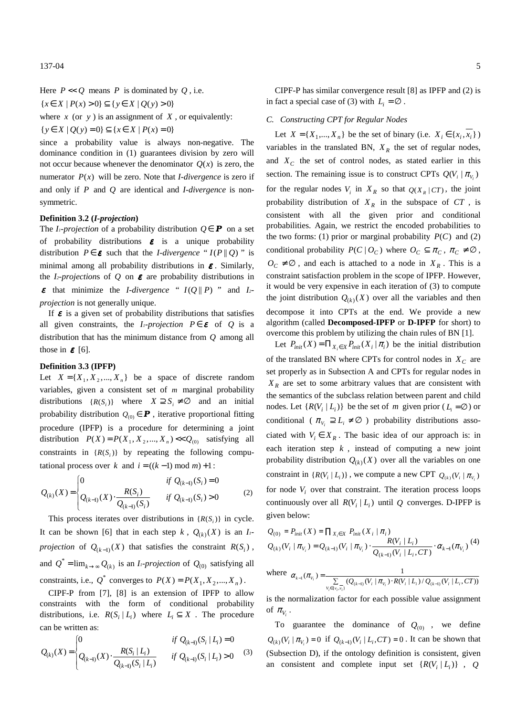$137-04$  5

Here  $P \ll Q$  means *P* is dominated by *Q*, i.e. { $x \in X$  |  $P(x) > 0$ } ⊂ {  $y \in X$  |  $Q(y) > 0$ } where  $x$  (or  $y$ ) is an assignment of  $X$ , or equivalently: {*y* ∈ *X* |  $Q(y) = 0$ } ⊆ {*x* ∈ *X* |  $P(x) = 0$ }

since a probability value is always non-negative. The dominance condition in (1) guarantees division by zero will not occur because whenever the denominator  $Q(x)$  is zero, the numerator  $P(x)$  will be zero. Note that *I-divergence* is zero if and only if *P* and *Q* are identical and *I-divergence* is nonsymmetric.

### **Definition 3.2 (***I-projection***)**

The *I<sub>1</sub>*-projection of a probability distribution  $O \in \mathbf{P}$  on a set of probability distributions  $\varepsilon$  is a unique probability distribution  $P \in \mathcal{E}$  such that the *I-divergence* " $I(P \| Q)$ " is minimal among all probability distributions in  $\epsilon$ . Similarly, the *I*<sub>2</sub>*-projections* of *Q* on  $\varepsilon$  are probability distributions in  $\epsilon$  that minimize the *I-divergence* "  $I(Q|| P)$  " and *I*<sub>2</sub>*projection* is not generally unique.

If  $\varepsilon$  is a given set of probability distributions that satisfies all given constraints, the *I<sub>1</sub>*-projection  $P \in \mathbf{\varepsilon}$  of *Q* is a distribution that has the minimum distance from *Q* among all those in  $\boldsymbol{\varepsilon}$  [6].

#### **Definition 3.3 (IPFP)**

Let  $X = \{X_1, X_2, ..., X_n\}$  be a space of discrete random variables, given a consistent set of *m* marginal probability distributions  $\{R(S_i)\}$  where  $X \supseteq S_i \neq \emptyset$  and an initial probability distribution  $Q_{(0)} \in \mathbf{P}$ , iterative proportional fitting procedure (IPFP) is a procedure for determining a joint distribution  $P(X) = P(X_1, X_2, ..., X_n) \ll Q_{(0)}$  satisfying all constraints in  $\{R(S_i)\}$  by repeating the following computational process over *k* and  $i = ((k-1) \mod m) + 1$ :

$$
Q_{(k)}(X) = \begin{cases} 0 & \text{if } Q_{(k-1)}(S_i) = 0 \\ Q_{(k-1)}(X) \cdot \frac{R(S_i)}{Q_{(k-1)}(S_i)} & \text{if } Q_{(k-1)}(S_i) > 0 \end{cases}
$$
 (2)

This process iterates over distributions in  $\{R(S_i)\}\$ in cycle. It can be shown [6] that in each step  $k$ ,  $Q_{(k)}(X)$  is an *I<sub>1</sub>projection* of  $Q_{(k-1)}(X)$  that satisfies the constraint  $R(S_i)$ , and  $Q^* = \lim_{k \to \infty} Q_{(k)}$  is an *I<sub>1</sub>*-projection of  $Q_{(0)}$  satisfying all constraints, i.e.,  $Q^*$  converges to  $P(X) = P(X_1, X_2, ..., X_n)$ .

CIPF-P from [7], [8] is an extension of IPFP to allow constraints with the form of conditional probability distributions, i.e.  $R(S_i | L_i)$  where  $L_i \subseteq X$ . The procedure can be written as:

$$
Q_{(k)}(X) = \begin{cases} 0 & \text{if } Q_{(k-1)}(S_i \mid L_i) = 0 \\ Q_{(k-1)}(X) \cdot \frac{R(S_i \mid L_i)}{Q_{(k-1)}(S_i \mid L_i)} & \text{if } Q_{(k-1)}(S_i \mid L_i) > 0 \end{cases}
$$
(3)

CIPF-P has similar convergence result [8] as IPFP and (2) is in fact a special case of (3) with  $L_i = \emptyset$ .

# *C. Constructing CPT for Regular Nodes*

Let  $X = \{X_1, \ldots, X_n\}$  be the set of binary (i.e.  $X_i \in \{x_i, x_i\}$ ) variables in the translated BN,  $X_R$  the set of regular nodes, and *X<sup>C</sup>* the set of control nodes, as stated earlier in this section. The remaining issue is to construct CPTs  $Q(V_i | \pi_{V_i})$ for the regular nodes  $V_i$  in  $X_R$  so that  $Q(X_R | CT)$ , the joint probability distribution of  $X_R$  in the subspace of  $CT$ , is consistent with all the given prior and conditional probabilities. Again, we restrict the encoded probabilities to the two forms: (1) prior or marginal probability  $P(C)$  and (2) conditional probability  $P(C | O_C)$  where  $O_C \subseteq \pi_C$ ,  $\pi_C \neq \emptyset$ ,  $O_C \neq \emptyset$ , and each is attached to a node in  $X_R$ . This is a constraint satisfaction problem in the scope of IPFP. However, it would be very expensive in each iteration of (3) to compute the joint distribution  $Q_{(k)}(X)$  over all the variables and then decompose it into CPTs at the end. We provide a new algorithm (called **Decomposed-IPFP** or **D-IPFP** for short) to overcome this problem by utilizing the chain rules of BN [1].

Let  $P_{init}(X) = \prod_{X_i \in X} P_{init}(X_i | \pi_i)$  be the initial distribution of the translated BN where CPTs for control nodes in  $X_C$  are set properly as in Subsection A and CPTs for regular nodes in *X<sup>R</sup>* are set to some arbitrary values that are consistent with the semantics of the subclass relation between parent and child nodes. Let  $\{ R(V_i | L_i) \}$  be the set of *m* given prior  $(L_i = \emptyset)$  or conditional ( $\pi_{V_i} \supseteq L_i \neq \emptyset$ ) probability distributions associated with  $V_i \in X_R$ . The basic idea of our approach is: in each iteration step  $k$ , instead of computing a new joint probability distribution  $Q_{(k)}(X)$  over all the variables on one constraint in  $\{ R(V_i | L_i) \}$ , we compute a new CPT  $Q_{(k)}(V_i | \pi_{V_i})$ for node  $V_i$  over that constraint. The iteration process loops continuously over all  $R(V_i | L_i)$  until Q converges. D-IPFP is given below:

$$
Q_{(0)} = P_{init}(X) = \prod_{X_i \in X} P_{init}(X_i | \pi_i)
$$
  
\n
$$
Q_{(k)}(V_i | \pi_{V_i}) = Q_{(k-1)}(V_i | \pi_{V_i}) \cdot \frac{R(V_i | L_i)}{Q_{(k-1)}(V_i | L_i, CT)} \cdot \alpha_{k-1}(\pi_{V_i})
$$
 (4)

where  $=\frac{1}{\sum (Q_{(k-1)}(V_i \mid \pi_{V_i}))^2}$  $\sum_{V_i \in \{v_i, v_i\}} Q_{(k-1)}(V_i \mid \pi_{V_i}) \cdot R(V_i \mid L_i) / Q_{(k-1)}$  $\sum_{V_i \in \{v_i, v_j\}} (Q_{(k-1)}(V_i \mid \pi_{V_i}) \cdot R(V_i \mid L_i) / Q_{(k-1)}(V_i \mid L_i, CT))$  $(\pi_{V_1}) = \frac{1}{\sqrt{1 - \frac{1}{2} \cdot \frac{1}{2} \cdot \frac{1}{2} \cdot \frac{1}{2} \cdot \frac{1}{2} \cdot \frac{1}{2} \cdot \frac{1}{2} \cdot \frac{1}{2} \cdot \frac{1}{2} \cdot \frac{1}{2} \cdot \frac{1}{2} \cdot \frac{1}{2} \cdot \frac{1}{2} \cdot \frac{1}{2} \cdot \frac{1}{2} \cdot \frac{1}{2} \cdot \frac{1}{2} \cdot \frac{1}{2} \cdot \frac{1}{2} \cdot \frac{1}{2} \cdot \frac{1}{2} \cdot \frac{1}{2} \cdot \frac{1$  $i \in V_i, V_i$  $\sum_{i=1}^{i} (Q_{(k-1)}(V_i \mid \pi_{V_i}))$  $\alpha_{k-1}(\pi_{V_i}) = \frac{1}{V_i \in \{v_i, v_i\}} (Q_{(k-1)}(V_i \mid \pi_{V_i}) \cdot R(V_i \mid L_i) / Q_{(k-1)}(V_i \mid L_i, CT))$ 

is the normalization factor for each possible value assignment of  $\pi_{V_i}$  .

To guarantee the dominance of  $Q_{(0)}$ , we define  $Q_{(k)}(V_i | \pi_{V_i}) = 0$  if  $Q_{(k-1)}(V_i | L_i, CT) = 0$ . It can be shown that (Subsection D), if the ontology definition is consistent, given an consistent and complete input set  $\{R(V_i | L_i)\}\;$ , Q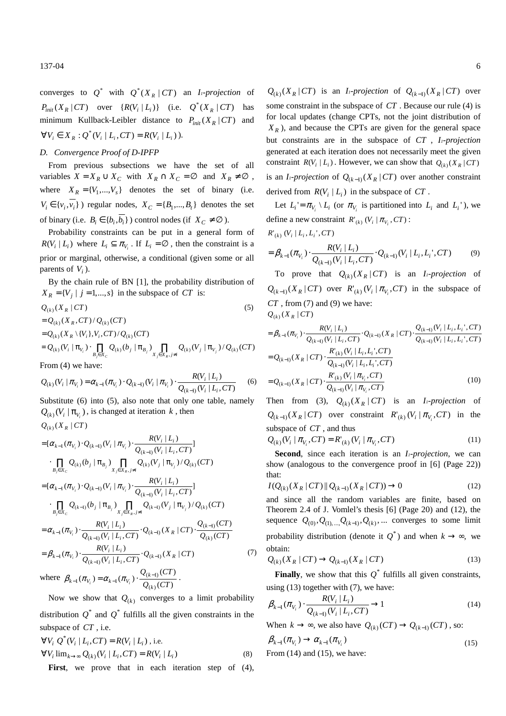converges to  $Q^*$  with  $Q^*(X_R | CT)$  an *I<sub>1</sub>*-projection of  $P_{init}(X_R | CT)$  over  $\{R(V_i | L_i)\}$  (i.e.  $Q^*(X_R | CT)$  has minimum Kullback-Leibler distance to  $P_{init}(X_R | CT)$  and  $\forall V_i \in X_R : Q^*(V_i | L_i, CT) = R(V_i | L_i).$ 

# *D. Convergence Proof of D-IPFP*

From previous subsections we have the set of all variables  $X = X_R \cup X_C$  with  $X_R \cap X_C = \emptyset$  and  $X_R \neq \emptyset$ , where  $X_R = \{V_1, ..., V_s\}$  denotes the set of binary (i.e.  $V_i \in \{v_i, v_i\}$  regular nodes,  $X_C = \{B_1, ..., B_t\}$  denotes the set of binary (i.e.  $B_i \in \{b_i, \overline{b_i}\}\)$  control nodes (if  $X_C \neq \emptyset$ ).

Probability constraints can be put in a general form of  $R(V_i | L_i)$  where  $L_i \subseteq \pi_{V_i}$ . If  $L_i = \emptyset$ , then the constraint is a prior or marginal, otherwise, a conditional (given some or all parents of  $V_i$ ).

By the chain rule of BN [1], the probability distribution of  $X_R = \{V_i \mid j = 1, \ldots, s\}$  in the subspace of *CT* is:

$$
Q_{(k)}(X_R | CT)
$$
\n
$$
= Q_{(k)}(X_R, CT) / Q_{(k)}(CT)
$$
\n
$$
= Q_{(k)}(X_R \setminus \{V_i\}, V_i, CT) / Q_{(k)}(CT)
$$
\n
$$
= Q_{(k)}(V_i | \pi_{V_i}) \cdot \prod_{B_j \in X_C} Q_{(k)}(b_j | \pi_{B_j}) \prod_{X_j \in X_R, j \neq i} Q_{(k)}(V_j | \pi_{V_j}) / Q_{(k)}(CT)
$$
\nFrom (4) we have:

om (4) we hav

$$
Q_{(k)}(V_i \mid \pi_{V_i}) = \alpha_{k-1}(\pi_{V_i}) \cdot Q_{(k-1)}(V_i \mid \pi_{V_i}) \cdot \frac{R(V_i \mid L_i)}{Q_{(k-1)}(V_i \mid L_i, CT)} \tag{6}
$$

Substitute (6) into (5), also note that only one table, namely  $Q_{(k)}(V_i | \pi_{V_i})$ , is changed at iteration  $k$ , then  $Q_{(k)}$   $(X_R | CT)$ 

$$
= [\alpha_{k-1}(\pi_{V_i}) \cdot Q_{(k-1)}(V_i | \pi_{V_i}) \cdot \frac{R(V_i | L_i)}{Q_{(k-1)}(V_i | L_i, CT)}]
$$
\n
$$
\cdot \prod_{B_j \in X_C} Q_{(k)}(b_j | \pi_{B_j}) \prod_{X_j \in X_R, j \neq i} Q_{(k)}(V_j | \pi_{V_j}) / Q_{(k)}(CT)
$$
\n
$$
= [\alpha_{k-1}(\pi_{V_i}) \cdot Q_{(k-1)}(V_i | \pi_{V_i}) \cdot \frac{R(V_i | L_i)}{Q_{(k-1)}(V_i | L_i, CT)}]
$$
\n
$$
\cdot \prod_{B_j \in X_C} Q_{(k-1)}(b_j | \pi_{B_j}) \prod_{X_j \in X_R, j \neq i} Q_{(k-1)}(V_j | \pi_{V_j}) / Q_{(k)}(CT)
$$
\n
$$
= \alpha_{k-1}(\pi_{V_i}) \cdot \frac{R(V_i | L_i)}{Q_{(k-1)}(V_i | L_i, CT)} \cdot Q_{(k-1)}(X_R | CT) \cdot \frac{Q_{(k-1)}(CT)}{Q_{(k)}(CT)}
$$
\n
$$
= \beta_{k-1}(\pi_{V_i}) \cdot \frac{R(V_i | L_i)}{Q_{(k-1)}(V_i | L_i, CT)} \cdot Q_{(k-1)}(X_R | CT)
$$
\nwhere  $\beta_{k-1}(\pi_{V_i}) = \alpha_{k-1}(\pi_{V_i}) \cdot \frac{Q_{(k-1)}(CT)}{Q_{(k)}(CT)}$ . (7)

Now we show that  $Q_{(k)}$  converges to a limit probability distribution  $Q^*$  and  $Q^*$  fulfills all the given constraints in the subspace of *CT* , i.e.

$$
\forall V_i \ Q^*(V_i \mid L_i, CT) = R(V_i \mid L_i), \text{ i.e.}
$$
  

$$
\forall V_i \lim_{k \to \infty} Q_{(k)}(V_i \mid L_i, CT) = R(V_i \mid L_i)
$$
 (8)

First, we prove that in each iteration step of  $(4)$ ,

 $Q_{(k)}(X_R | CT)$  is an *I<sub>1</sub>*-projection of  $Q_{(k-1)}(X_R | CT)$  over some constraint in the subspace of *CT* . Because our rule (4) is for local updates (change CPTs, not the joint distribution of *XR* ), and because the CPTs are given for the general space but constraints are in the subspace of *CT* , *I1-projection* generated at each iteration does not necessarily meet the given constraint  $R(V_i | L_i)$ . However, we can show that  $Q_{(k)}(X_R | CT)$ is an *I*<sub>1</sub>*-projection* of  $Q_{(k-1)}(X_R | CT)$  over another constraint derived from  $R(V_i | L_i)$  in the subspace of  $CT$ .

Let  $L_i' = \pi_{V_i} \setminus L_i$  (or  $\pi_{V_i}$  is partitioned into  $L_i$  and  $L_i'$ ), we define a new constraint  $R'_{(k)}$   $(V_i | \pi_{V_i}, CT)$ :

 $R'_{(k)} (V_i | L_i, L_i', CT)$ 

$$
= \beta_{k-1}(\pi_{V_i}) \cdot \frac{R(V_i \mid L_i)}{Q_{(k-1)}(V_i \mid L_i, CT)} \cdot Q_{(k-1)}(V_i \mid L_i, L_i', CT) \tag{9}
$$

To prove that  $Q_{(k)}(X_R | CT)$  is an *I<sub>1</sub>*-projection of  $Q_{(k-1)}(X_R | CT)$  over  $R'_{(k)}(V_i | \pi_{V_i}, CT)$  in the subspace of *CT* , from (7) and (9) we have:  $Q_{(k)}$   $(X_R | CT)$ 

$$
= \beta_{k-1}(\pi_{V_i}) \cdot \frac{R(V_i \mid L_i)}{Q_{(k-1)}(V_i \mid L_i, CT)} \cdot Q_{(k-1)}(X_R \mid CT) \cdot \frac{Q_{(k-1)}(V_i \mid L_i, L_i', CT)}{Q_{(k-1)}(V_i \mid L_i, L_i', CT)}
$$
  
\n
$$
= Q_{(k-1)}(X_R \mid CT) \cdot \frac{R'_{(k)}(V_i \mid L_i, L_i', CT)}{Q_{(k-1)}(V_i \mid L_i, L_i', CT)}
$$
  
\n
$$
= Q_{(k-1)}(X_R \mid CT) \cdot \frac{R'_{(k)}(V_i \mid \pi_{V_i}, CT)}{Q_{(k-1)}(V_i \mid \pi_{V_i}, CT)}
$$
(10)

Then from (3),  $Q_{(k)}(X_R | CT)$  is an *I<sub>1</sub>*-projection of  $Q_{(k-1)}(X_R | CT)$  over constraint  $R'_{(k)}(V_i | \pi_{V_i}, CT)$  in the subspace of *CT* , and thus

$$
Q_{(k)}(V_i \mid \pi_{V_i}, CT) = R'_{(k)}(V_i \mid \pi_{V_i}, CT)
$$
\n(11)

**Second**, since each iteration is an *I1-projection*, we can show (analogous to the convergence proof in [6] (Page 22)) that:

$$
I(Q_{(k)}(X_R \,|\, CT) \,||\, Q_{(k-1)}(X_R \,|\, CT)) \to 0 \tag{12}
$$

and since all the random variables are finite, based on Theorem 2.4 of J. Vomlel's thesis [6] (Page 20) and (12), the sequence  $Q_{(0)}, Q_{(1),\dots, Q_{(k-1)}}, Q_{(k)}, \dots$  converges to some limit probability distribution (denote it  $Q^*$ ) and when  $k \to \infty$ , we

obtain:

$$
Q_{(k)}(X_R \mid CT) \to Q_{(k-1)}(X_R \mid CT) \tag{13}
$$

**Finally**, we show that this  $Q^*$  fulfills all given constraints, using (13) together with (7), we have:

$$
\beta_{k-1}(\pi_{V_i}) \cdot \frac{R(V_i \mid L_i)}{Q_{(k-1)}(V_i \mid L_i, CT)} \to 1
$$
\n(14)

When  $k \to \infty$ , we also have  $Q_{(k)}(CT) \to Q_{(k-1)}(CT)$ , so:

$$
\beta_{k-1}(\pi_{V_i}) \to \alpha_{k-1}(\pi_{V_i})
$$
  
From (14) and (15), we have: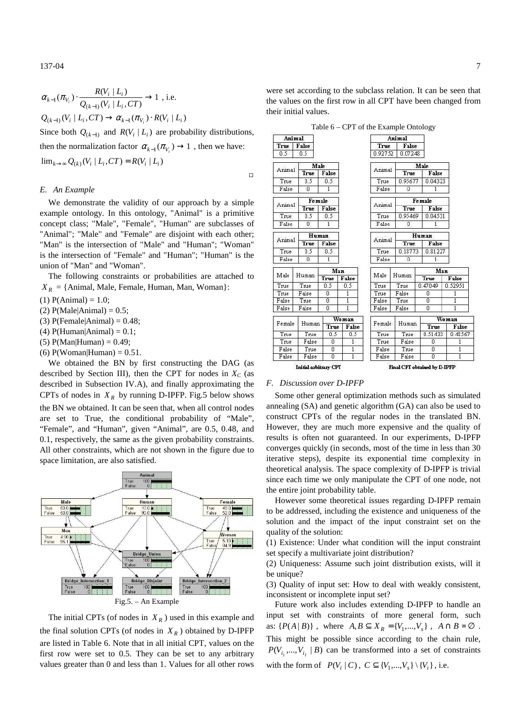$$
\alpha_{k-1}(\pi_{V_i}) \cdot \frac{R(V_i \mid L_i)}{Q_{(k-1)}(V_i \mid L_i, CT)} \to 1
$$
, i.e.

 $Q_{(k-1)}(V_i | L_i, CT) \to \alpha_{k-1}(\pi_{V_i}) \cdot R(V_i | L_i)$ 

Since both  $Q_{(k-1)}$  and  $R(V_i | L_i)$  are probability distributions,

then the normalization factor  $\alpha_{k-1} (\pi_{V_i}) \rightarrow 1$ , then we have:  $\lim_{k \to \infty} Q_{(k)}(V_i | L_i, CT) = R(V_i | L_i)$ 

#### *E. An Example*

We demonstrate the validity of our approach by a simple example ontology. In this ontology, "Animal" is a primitive concept class; "Male", "Female", "Human" are subclasses of "Animal"; "Male" and "Female" are disjoint with each other; "Man" is the intersection of "Male" and "Human"; "Woman" is the intersection of "Female" and "Human"; "Human" is the union of "Man" and "Woman".

The following constraints or probabilities are attached to  $X_R = \{Animal, Male, Female, Human, Man, Woman\}.$ 

 $(1)$  P(Animal) = 1.0;

(2)  $P(Male|Animal) = 0.5$ ;

(3) P(Female|Animal) =  $0.48$ ;

(4)  $P(Human|Animal) = 0.1$ ;

(5)  $P(Man|Human) = 0.49$ ;

(6)  $P( Woman|Human) = 0.51$ .

We obtained the BN by first constructing the DAG (as described by Section III), then the CPT for nodes in  $X_C$  (as described in Subsection IV.A), and finally approximating the CPTs of nodes in  $X_R$  by running D-IPFP. Fig.5 below shows the BN we obtained. It can be seen that, when all control nodes are set to True, the conditional probability of "Male", "Female", and "Human", given "Animal", are 0.5, 0.48, and 0.1, respectively, the same as the given probability constraints. All other constraints, which are not shown in the figure due to space limitation, are also satisfied.



The initial CPTs (of nodes in *X<sup>R</sup>* ) used in this example and the final solution CPTs (of nodes in *X<sup>R</sup>* ) obtained by D-IPFP are listed in Table 6. Note that in all initial CPT, values on the first row were set to 0.5. They can be set to any arbitrary values greater than 0 and less than 1. Values for all other rows

were set according to the subclass relation. It can be seen that the values on the first row in all CPT have been changed from their initial values.

Table 6 – CPT of the Example Ontology

|                |             |       | Animal  |         |                |      |              |             | Animal |
|----------------|-------------|-------|---------|---------|----------------|------|--------------|-------------|--------|
|                |             |       | False   | True    |                |      |              | False       | True   |
|                |             |       | 0.07248 | 0.92752 |                |      |              | 0.5         | 0.5    |
|                |             | Male  |         |         |                |      |              | Male        |        |
|                | False       |       | True    | Animal  |                |      | False        | <b>True</b> | Animal |
|                | 0.04323     |       | 0.95677 | True    |                |      | 0.5          | 0.5         | True   |
|                | 1           |       | 0       | False   |                |      | $\mathbf{1}$ | 0           | False  |
|                | Female      |       |         |         |                |      |              | Female      |        |
|                | False       |       | True    | Animal  |                |      | False        | True        | Animal |
|                | 0.04531     |       | 0.95469 | True    |                |      | 0.5          | 0.5         | True   |
|                | 1.          |       | 0       | False   |                |      | $\mathbf{1}$ | 0           | False  |
|                | Human       |       |         |         |                |      |              | Human       |        |
|                | False       |       | True    | Animal  |                |      | False        | True        | Animal |
|                | 0.81227     |       | 0.18773 | True    |                |      | 0.5          | 0.5         | True   |
|                | $1^{\circ}$ |       | 0       | False   |                |      | $\mathbf{1}$ | 0           | False  |
|                | Man         |       |         |         |                | Man  |              |             |        |
| False          | True        |       | Human   | Male    | False          |      | True         | Human       | Male   |
| 0.52951        | 0.47049     |       | True    | True    | 0.5            |      | 0.5          | True        | True   |
| $\mathbf{1}$   | 0           |       | False   | True    | 1              |      | Ũ            | False       | True   |
| $\mathbf{1}$   | Ũ           |       | True    | False   | $\overline{1}$ |      | Ū            | True        | False  |
| 1              | n           |       | False   | False   | 1              |      | n            | False       | False  |
|                | Woman       |       |         |         | Woman          |      |              |             |        |
| False          | True        | Human | Female  | False   |                | True | Human        | Female      |        |
| 0.48567        | 0.51433     |       | True    | True    | 0.5            |      | 0.5          | True        | True   |
| 1              | ٥           |       | False   | True    | $\mathbf{1}$   |      | n            | False       | True   |
| $\overline{1}$ | 0           |       | True    | False   | $\mathbf{1}$   |      | 0            | True        | False  |
| $\overline{1}$ | O           |       | False   | False   | $\mathbf{1}$   |      | 0            | False       | False  |

#### *F. Discussion over D-IPFP*

 $\Box$ 

Some other general optimization methods such as simulated annealing (SA) and genetic algorithm (GA) can also be used to construct CPTs of the regular nodes in the translated BN. However, they are much more expensive and the quality of results is often not guaranteed. In our experiments, D-IPFP converges quickly (in seconds, most of the time in less than 30 iterative steps), despite its exponential time complexity in theoretical analysis. The space complexity of D-IPFP is trivial since each time we only manipulate the CPT of one node, not the entire joint probability table.

However some theoretical issues regarding D-IPFP remain to be addressed, including the existence and uniqueness of the solution and the impact of the input constraint set on the quality of the solution:

(1) Existence: Under what condition will the input constraint set specify a multivariate joint distribution?

(2) Uniqueness: Assume such joint distribution exists, will it be unique?

(3) Quality of input set: How to deal with weakly consistent, inconsistent or incomplete input set?

Future work also includes extending D-IPFP to handle an input set with constraints of more general form, such as:  ${P(A|B)}$ , where  $A, B \subseteq X_R = {V_1, ..., V_s}$ ,  $A \cap B = \emptyset$ . This might be possible since according to the chain rule,  $P(V_{i_1},..., V_{i_l} | B)$  can be transformed into a set of constraints with the form of  $P(V_i | C)$ ,  $C \subseteq \{V_1, ..., V_s\} \setminus \{V_i\}$ , i.e.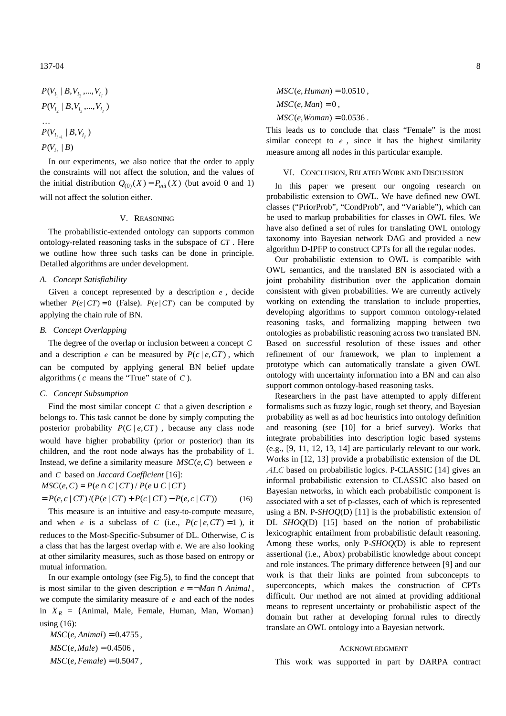$$
P(V_{i_1} | B, V_{i_2},..., V_{i_l})
$$
  
\n
$$
P(V_{i_2} | B, V_{i_3},..., V_{i_l})
$$
  
\n...  
\n
$$
P(V_{i_{l-1}} | B, V_{i_l})
$$
  
\n
$$
P(V_{i_l} | B)
$$

In our experiments, we also notice that the order to apply the constraints will not affect the solution, and the values of the initial distribution  $Q_{(0)}(X) = P_{init}(X)$  (but avoid 0 and 1) will not affect the solution either.

# V. REASONING

The probabilistic-extended ontology can supports common ontology-related reasoning tasks in the subspace of *CT* . Here we outline how three such tasks can be done in principle. Detailed algorithms are under development.

#### *A. Concept Satisfiability*

Given a concept represented by a description *e* , decide whether  $P(e | CT) = 0$  (False).  $P(e | CT)$  can be computed by applying the chain rule of BN.

#### *B. Concept Overlapping*

The degree of the overlap or inclusion between a concept *C* and a description *e* can be measured by  $P(c | e, CT)$ , which can be computed by applying general BN belief update algorithms ( *c* means the "True" state of *C* ).

#### *C. Concept Subsumption*

Find the most similar concept *C* that a given description *e* belongs to. This task cannot be done by simply computing the posterior probability  $P(C | e, CT)$ , because any class node would have higher probability (prior or posterior) than its children, and the root node always has the probability of 1. Instead, we define a similarity measure  $MSC(e, C)$  between *e* and *C* based on *Jaccard Coefficient* [16]:

$$
MSC(e, C) = P(e \cap C | CT) / P(e \cup C | CT)
$$

$$
= P(e, c \mid CT) / (P(e \mid CT) + P(c \mid CT) - P(e, c \mid CT)) \tag{16}
$$

This measure is an intuitive and easy-to-compute measure, and when *e* is a subclass of *C* (i.e.,  $P(c | e, CT) = 1$ ), it reduces to the Most-Specific-Subsumer of DL. Otherwise, *C* is a class that has the largest overlap with *e*. We are also looking at other similarity measures, such as those based on entropy or mutual information.

In our example ontology (see Fig.5), to find the concept that is most similar to the given description  $e = \neg Man \cap Animal$ , we compute the similarity measure of *e* and each of the nodes in  $X_R = \{Animal, Male, Female, Human, Man, Woman\}$ using (16):

 $MSC(e, Animal) = 0.4755$ ,  $MSC(e, Male) = 0.4506$ .  $MSC(e, Female) = 0.5047$ .  $MSC(e, Human) = 0.0510$ ,  $MSC(e, Man) = 0$ ,  $MSC(e, Woman) = 0.0536$ .

This leads us to conclude that class "Female" is the most similar concept to *e* , since it has the highest similarity measure among all nodes in this particular example.

#### VI. CONCLUSION, RELATED WORK AND DISCUSSION

In this paper we present our ongoing research on probabilistic extension to OWL. We have defined new OWL classes ("PriorProb", "CondProb", and "Variable"), which can be used to markup probabilities for classes in OWL files. We have also defined a set of rules for translating OWL ontology taxonomy into Bayesian network DAG and provided a new algorithm D-IPFP to construct CPTs for all the regular nodes.

Our probabilistic extension to OWL is compatible with OWL semantics, and the translated BN is associated with a joint probability distribution over the application domain consistent with given probabilities. We are currently actively working on extending the translation to include properties, developing algorithms to support common ontology-related reasoning tasks, and formalizing mapping between two ontologies as probabilistic reasoning across two translated BN. Based on successful resolution of these issues and other refinement of our framework, we plan to implement a prototype which can automatically translate a given OWL ontology with uncertainty information into a BN and can also support common ontology-based reasoning tasks.

Researchers in the past have attempted to apply different formalisms such as fuzzy logic, rough set theory, and Bayesian probability as well as ad hoc heuristics into ontology definition and reasoning (see [10] for a brief survey). Works that integrate probabilities into description logic based systems (e.g., [9, 11, 12, 13, 14] are particularly relevant to our work. Works in [12, 13] provide a probabilistic extension of the DL ALC based on probabilistic logics. P-CLASSIC [14] gives an informal probabilistic extension to CLASSIC also based on Bayesian networks, in which each probabilistic component is associated with a set of p-classes, each of which is represented using a BN. P-*SHOQ*(D) [11] is the probabilistic extension of DL *SHOQ*(D) [15] based on the notion of probabilistic lexicographic entailment from probabilistic default reasoning. Among these works, only P-*SHOQ*(D) is able to represent assertional (i.e., Abox) probabilistic knowledge about concept and role instances. The primary difference between [9] and our work is that their links are pointed from subconcepts to superconcepts, which makes the construction of CPTs difficult. Our method are not aimed at providing additional means to represent uncertainty or probabilistic aspect of the domain but rather at developing formal rules to directly translate an OWL ontology into a Bayesian network.

#### ACKNOWLEDGMENT

This work was supported in part by DARPA contract